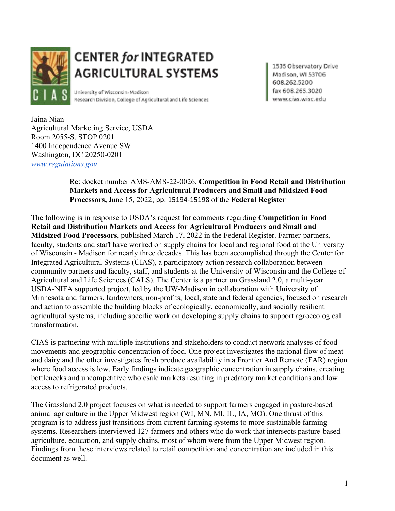

# **CENTER for INTEGRATED** AGRICULTURAL SYSTEMS

University of Wisconsin-Madison Research Division, College of Agricultural and Life Sciences

1535 Observatory Drive Madison, WI 53706 608.262.5200 fax 608.265.3020 www.cias.wisc.edu

Jaina Nian Agricultural Marketing Service, USDA Room 2055-S, STOP 0201 1400 Independence Avenue SW Washington, DC 20250-0201 *www.regulations.gov*

> Re: docket number AMS-AMS-22-0026, **Competition in Food Retail and Distribution Markets and Access for Agricultural Producers and Small and Midsized Food Processors,** June 15, 2022; pp. 15194-15198 of the **Federal Register**

The following is in response to USDA's request for comments regarding **Competition in Food Retail and Distribution Markets and Access for Agricultural Producers and Small and Midsized Food Processors**, published March 17, 2022 in the Federal Register. Farmer-partners, faculty, students and staff have worked on supply chains for local and regional food at the University of Wisconsin - Madison for nearly three decades. This has been accomplished through the Center for Integrated Agricultural Systems (CIAS), a participatory action research collaboration between community partners and faculty, staff, and students at the University of Wisconsin and the College of Agricultural and Life Sciences (CALS). The Center is a partner on Grassland 2.0, a multi-year USDA-NIFA supported project, led by the UW-Madison in collaboration with University of Minnesota and farmers, landowners, non-profits, local, state and federal agencies, focused on research and action to assemble the building blocks of ecologically, economically, and socially resilient agricultural systems, including specific work on developing supply chains to support agroecological transformation.

CIAS is partnering with multiple institutions and stakeholders to conduct network analyses of food movements and geographic concentration of food. One project investigates the national flow of meat and dairy and the other investigates fresh produce availability in a Frontier And Remote (FAR) region where food access is low. Early findings indicate geographic concentration in supply chains, creating bottlenecks and uncompetitive wholesale markets resulting in predatory market conditions and low access to refrigerated products.

The Grassland 2.0 project focuses on what is needed to support farmers engaged in pasture-based animal agriculture in the Upper Midwest region (WI, MN, MI, IL, IA, MO). One thrust of this program is to address just transitions from current farming systems to more sustainable farming systems. Researchers interviewed 127 farmers and others who do work that intersects pasture-based agriculture, education, and supply chains, most of whom were from the Upper Midwest region. Findings from these interviews related to retail competition and concentration are included in this document as well.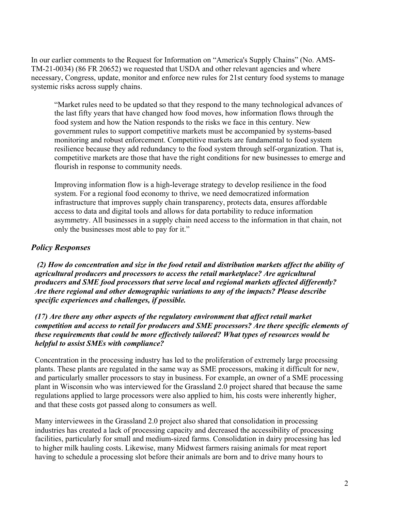In our earlier comments to the Request for Information on "America's Supply Chains" (No. AMS-TM-21-0034) (86 FR 20652) we requested that USDA and other relevant agencies and where necessary, Congress, update, monitor and enforce new rules for 21st century food systems to manage systemic risks across supply chains.

"Market rules need to be updated so that they respond to the many technological advances of the last fifty years that have changed how food moves, how information flows through the food system and how the Nation responds to the risks we face in this century. New government rules to support competitive markets must be accompanied by systems-based monitoring and robust enforcement. Competitive markets are fundamental to food system resilience because they add redundancy to the food system through self-organization. That is, competitive markets are those that have the right conditions for new businesses to emerge and flourish in response to community needs.

Improving information flow is a high-leverage strategy to develop resilience in the food system. For a regional food economy to thrive, we need democratized information infrastructure that improves supply chain transparency, protects data, ensures affordable access to data and digital tools and allows for data portability to reduce information asymmetry. All businesses in a supply chain need access to the information in that chain, not only the businesses most able to pay for it."

## *Policy Responses*

*(2) How do concentration and size in the food retail and distribution markets affect the ability of agricultural producers and processors to access the retail marketplace? Are agricultural producers and SME food processors that serve local and regional markets affected differently? Are there regional and other demographic variations to any of the impacts? Please describe specific experiences and challenges, if possible.*

*(17) Are there any other aspects of the regulatory environment that affect retail market competition and access to retail for producers and SME processors? Are there specific elements of these requirements that could be more effectively tailored? What types of resources would be helpful to assist SMEs with compliance?*

Concentration in the processing industry has led to the proliferation of extremely large processing plants. These plants are regulated in the same way as SME processors, making it difficult for new, and particularly smaller processors to stay in business. For example, an owner of a SME processing plant in Wisconsin who was interviewed for the Grassland 2.0 project shared that because the same regulations applied to large processors were also applied to him, his costs were inherently higher, and that these costs got passed along to consumers as well.

Many interviewees in the Grassland 2.0 project also shared that consolidation in processing industries has created a lack of processing capacity and decreased the accessibility of processing facilities, particularly for small and medium-sized farms. Consolidation in dairy processing has led to higher milk hauling costs. Likewise, many Midwest farmers raising animals for meat report having to schedule a processing slot before their animals are born and to drive many hours to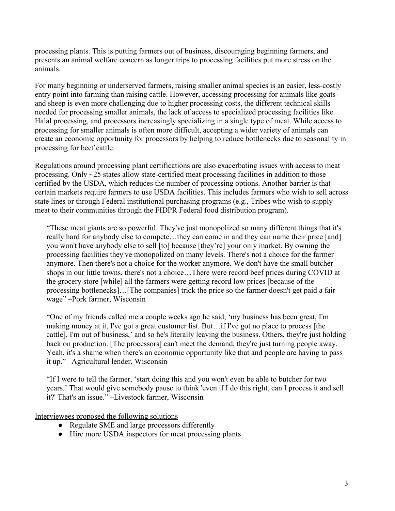processing plants. This is putting farmers out of business, discouraging beginning farmers, and presents an animal welfare concern as longer trips to processing facilities put more stress on the animals.

For many beginning or underserved farmers, raising smaller animal species is an easier, less-costly entry point into farming than raising cattle. However, accessing processing for animals like goats and sheep is even more challenging due to higher processing costs, the different technical skills needed for processing smaller animals, the lack of access to specialized processing facilities like Halal processing, and processors increasingly specializing in a single type of meat. While access to processing for smaller animals is often more difficult, accepting a wider variety of animals can create an economic opportunity for processors by helping to reduce bottlenecks due to seasonality in processing for beef cattle.

Regulations around processing plant certifications are also exacerbating issues with access to meat processing. Only ~25 states allow state-certified meat processing facilities in addition to those certified by the USDA, which reduces the number of processing options. Another barrier is that certain markets require farmers to use USDA facilities. This includes farmers who wish to sell across state lines or through Federal institutional purchasing programs (e.g., Tribes who wish to supply meat to their communities through the FIDPR Federal food distribution program).

"These meat giants are so powerful. They've just monopolized so many different things that it's really hard for anybody else to compete…they can come in and they can name their price [and] you won't have anybody else to sell [to] because [they're] your only market. By owning the processing facilities they've monopolized on many levels. There's not a choice for the farmer anymore. Then there's not a choice for the worker anymore. We don't have the small butcher shops in our little towns, there's not a choice…There were record beef prices during COVID at the grocery store [while] all the farmers were getting record low prices [because of the processing bottlenecks]…[The companies] trick the price so the farmer doesn't get paid a fair wage" –Pork farmer, Wisconsin

"One of my friends called me a couple weeks ago he said, 'my business has been great, I'm making money at it, I've got a great customer list. But…if I've got no place to process [the cattle], I'm out of business,' and so he's literally leaving the business. Others, they're just holding back on production. [The processors] can't meet the demand, they're just turning people away. Yeah, it's a shame when there's an economic opportunity like that and people are having to pass it up." –Agricultural lender, Wisconsin

"If I were to tell the farmer, 'start doing this and you won't even be able to butcher for two years.' That would give somebody pause to think 'even if I do this right, can I process it and sell it?' That's an issue." –Livestock farmer, Wisconsin

Interviewees proposed the following solutions

- Regulate SME and large processors differently
- Hire more USDA inspectors for meat processing plants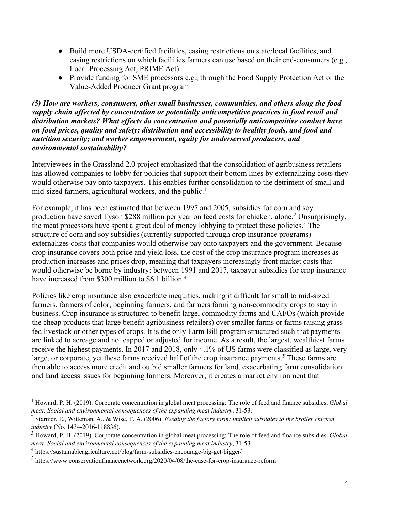- Build more USDA-certified facilities, easing restrictions on state/local facilities, and easing restrictions on which facilities farmers can use based on their end-consumers (e.g., Local Processing Act, PRIME Act)
- Provide funding for SME processors e.g., through the Food Supply Protection Act or the Value-Added Producer Grant program

*(5) How are workers, consumers, other small businesses, communities, and others along the food supply chain affected by concentration or potentially anticompetitive practices in food retail and distribution markets? What effects do concentration and potentially anticompetitive conduct have on food prices, quality and safety; distribution and accessibility to healthy foods, and food and nutrition security; and worker empowerment, equity for underserved producers, and environmental sustainability?*

Interviewees in the Grassland 2.0 project emphasized that the consolidation of agribusiness retailers has allowed companies to lobby for policies that support their bottom lines by externalizing costs they would otherwise pay onto taxpayers. This enables further consolidation to the detriment of small and mid-sized farmers, agricultural workers, and the public.<sup>1</sup>

For example, it has been estimated that between 1997 and 2005, subsidies for corn and soy production have saved Tyson \$288 million per year on feed costs for chicken, alone.2 Unsurprisingly, the meat processors have spent a great deal of money lobbying to protect these policies.<sup>3</sup> The structure of corn and soy subsidies (currently supported through crop insurance programs) externalizes costs that companies would otherwise pay onto taxpayers and the government. Because crop insurance covers both price and yield loss, the cost of the crop insurance program increases as production increases and prices drop, meaning that taxpayers increasingly front market costs that would otherwise be borne by industry: between 1991 and 2017, taxpayer subsidies for crop insurance have increased from \$300 million to \$6.1 billion.<sup>4</sup>

Policies like crop insurance also exacerbate inequities, making it difficult for small to mid-sized farmers, farmers of color, beginning farmers, and farmers farming non-commodity crops to stay in business. Crop insurance is structured to benefit large, commodity farms and CAFOs (which provide the cheap products that large benefit agribusiness retailers) over smaller farms or farms raising grassfed livestock or other types of crops. It is the only Farm Bill program structured such that payments are linked to acreage and not capped or adjusted for income. As a result, the largest, wealthiest farms receive the highest payments. In 2017 and 2018, only 4.1% of US farms were classified as large, very large, or corporate, yet these farms received half of the crop insurance payments.<sup>5</sup> These farms are then able to access more credit and outbid smaller farmers for land, exacerbating farm consolidation and land access issues for beginning farmers. Moreover, it creates a market environment that

<sup>1</sup> Howard, P. H. (2019). Corporate concentration in global meat processing: The role of feed and finance subsidies. *Global meat: Social and environmental consequences of the expanding meat industry*, 31-53.

<sup>2</sup> Starmer, E., Witteman, A., & Wise, T. A. (2006). *Feeding the factory farm: implicit subsidies to the broiler chicken industry* (No. 1434-2016-118836).

<sup>3</sup> Howard, P. H. (2019). Corporate concentration in global meat processing: The role of feed and finance subsidies. *Global meat: Social and environmental consequences of the expanding meat industry*, 31-53.

<sup>4</sup> https://sustainableagriculture.net/blog/farm-subsidies-encourage-big-get-bigger/

<sup>5</sup> https://www.conservationfinancenetwork.org/2020/04/08/the-case-for-crop-insurance-reform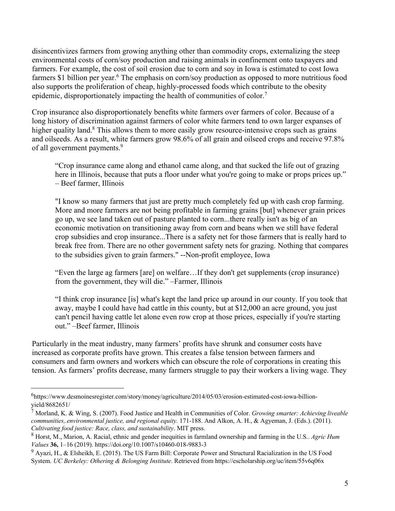disincentivizes farmers from growing anything other than commodity crops, externalizing the steep environmental costs of corn/soy production and raising animals in confinement onto taxpayers and farmers. For example, the cost of soil erosion due to corn and soy in Iowa is estimated to cost Iowa farmers \$1 billion per year.<sup>6</sup> The emphasis on corn/soy production as opposed to more nutritious food also supports the proliferation of cheap, highly-processed foods which contribute to the obesity epidemic, disproportionately impacting the health of communities of color.<sup>7</sup>

Crop insurance also disproportionately benefits white farmers over farmers of color. Because of a long history of discrimination against farmers of color white farmers tend to own larger expanses of higher quality land.<sup>8</sup> This allows them to more easily grow resource-intensive crops such as grains and oilseeds. As a result, white farmers grow 98.6% of all grain and oilseed crops and receive 97.8% of all government payments.9

"Crop insurance came along and ethanol came along, and that sucked the life out of grazing here in Illinois, because that puts a floor under what you're going to make or props prices up." – Beef farmer, Illinois

"I know so many farmers that just are pretty much completely fed up with cash crop farming. More and more farmers are not being profitable in farming grains [but] whenever grain prices go up, we see land taken out of pasture planted to corn...there really isn't as big of an economic motivation on transitioning away from corn and beans when we still have federal crop subsidies and crop insurance...There is a safety net for those farmers that is really hard to break free from. There are no other government safety nets for grazing. Nothing that compares to the subsidies given to grain farmers." --Non-profit employee, Iowa

"Even the large ag farmers [are] on welfare…If they don't get supplements (crop insurance) from the government, they will die." –Farmer, Illinois

"I think crop insurance [is] what's kept the land price up around in our county. If you took that away, maybe I could have had cattle in this county, but at \$12,000 an acre ground, you just can't pencil having cattle let alone even row crop at those prices, especially if you're starting out." –Beef farmer, Illinois

Particularly in the meat industry, many farmers' profits have shrunk and consumer costs have increased as corporate profits have grown. This creates a false tension between farmers and consumers and farm owners and workers which can obscure the role of corporations in creating this tension. As farmers' profits decrease, many farmers struggle to pay their workers a living wage. They

<sup>6</sup>https://www.desmoinesregister.com/story/money/agriculture/2014/05/03/erosion-estimated-cost-iowa-billionyield/8682651/

<sup>7</sup> Morland, K. & Wing, S. (2007). Food Justice and Health in Communities of Color. *Growing smarter: Achieving liveable communities,.environmental justice, and regional equity.* 171-188. And Alkon, A. H., & Agyeman, J. (Eds.). (2011). *Cultivating food justice: Race, class, and sustainability*. MIT press.

<sup>8</sup> Horst, M., Marion, A. Racial, ethnic and gender inequities in farmland ownership and farming in the U.S.. *Agric Hum Values* **36,** 1–16 (2019). https://doi.org/10.1007/s10460-018-9883-3

 $9$  Ayazi, H., & Elsheikh, E. (2015). The US Farm Bill: Corporate Power and Structural Racialization in the US Food System. *UC Berkeley: Othering & Belonging Institute*. Retrieved from https://escholarship.org/uc/item/55v6q06x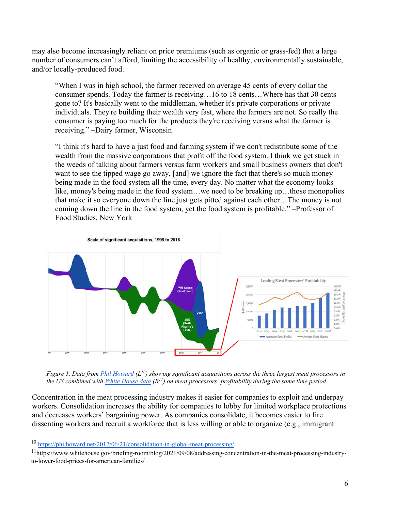may also become increasingly reliant on price premiums (such as organic or grass-fed) that a large number of consumers can't afford, limiting the accessibility of healthy, environmentally sustainable, and/or locally-produced food.

"When I was in high school, the farmer received on average 45 cents of every dollar the consumer spends. Today the farmer is receiving…16 to 18 cents…Where has that 30 cents gone to? It's basically went to the middleman, whether it's private corporations or private individuals. They're building their wealth very fast, where the farmers are not. So really the consumer is paying too much for the products they're receiving versus what the farmer is receiving." –Dairy farmer, Wisconsin

"I think it's hard to have a just food and farming system if we don't redistribute some of the wealth from the massive corporations that profit off the food system. I think we get stuck in the weeds of talking about farmers versus farm workers and small business owners that don't want to see the tipped wage go away, [and] we ignore the fact that there's so much money being made in the food system all the time, every day. No matter what the economy looks like, money's being made in the food system…we need to be breaking up…those monopolies that make it so everyone down the line just gets pitted against each other…The money is not coming down the line in the food system, yet the food system is profitable." –Professor of Food Studies, New York



*Figure 1. Data from Phil Howard (L10) showing significant acquisitions across the three largest meat processors in the US combined with White House data (R11) on meat processors' profitability during the same time period.*

Concentration in the meat processing industry makes it easier for companies to exploit and underpay workers. Consolidation increases the ability for companies to lobby for limited workplace protections and decreases workers' bargaining power. As companies consolidate, it becomes easier to fire dissenting workers and recruit a workforce that is less willing or able to organize (e.g., immigrant

<sup>10</sup> https://philhoward.net/2017/06/21/consolidation-in-global-meat-processing/

<sup>&</sup>lt;sup>11</sup>https://www.whitehouse.gov/briefing-room/blog/2021/09/08/addressing-concentration-in-the-meat-processing-industryto-lower-food-prices-for-american-families/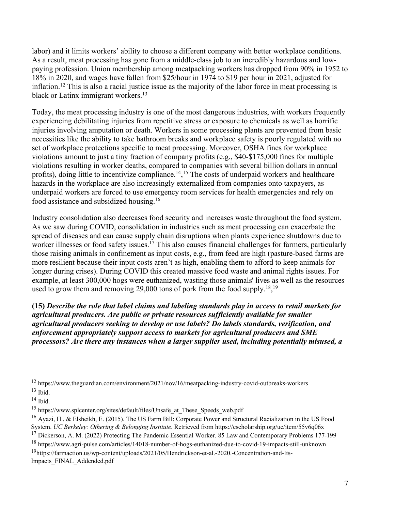labor) and it limits workers' ability to choose a different company with better workplace conditions. As a result, meat processing has gone from a middle-class job to an incredibly hazardous and lowpaying profession. Union membership among meatpacking workers has dropped from 90% in 1952 to 18% in 2020, and wages have fallen from \$25/hour in 1974 to \$19 per hour in 2021, adjusted for inflation. <sup>12</sup> This is also a racial justice issue as the majority of the labor force in meat processing is black or Latinx immigrant workers.<sup>13</sup>

Today, the meat processing industry is one of the most dangerous industries, with workers frequently experiencing debilitating injuries from repetitive stress or exposure to chemicals as well as horrific injuries involving amputation or death. Workers in some processing plants are prevented from basic necessities like the ability to take bathroom breaks and workplace safety is poorly regulated with no set of workplace protections specific to meat processing. Moreover, OSHA fines for workplace violations amount to just a tiny fraction of company profits (e.g., \$40-\$175,000 fines for multiple violations resulting in worker deaths, compared to companies with several billion dollars in annual profits), doing little to incentivize compliance.<sup>14</sup>,<sup>15</sup> The costs of underpaid workers and healthcare hazards in the workplace are also increasingly externalized from companies onto taxpayers, as underpaid workers are forced to use emergency room services for health emergencies and rely on food assistance and subsidized housing.16

Industry consolidation also decreases food security and increases waste throughout the food system. As we saw during COVID, consolidation in industries such as meat processing can exacerbate the spread of diseases and can cause supply chain disruptions when plants experience shutdowns due to worker illnesses or food safety issues.<sup>17</sup> This also causes financial challenges for farmers, particularly those raising animals in confinement as input costs, e.g., from feed are high (pasture-based farms are more resilient because their input costs aren't as high, enabling them to afford to keep animals for longer during crises). During COVID this created massive food waste and animal rights issues. For example, at least 300,000 hogs were euthanized, wasting those animals' lives as well as the resources used to grow them and removing 29,000 tons of pork from the food supply.<sup>18,19</sup>

**(15)** *Describe the role that label claims and labeling standards play in access to retail markets for agricultural producers. Are public or private resources sufficiently available for smaller agricultural producers seeking to develop or use labels? Do labels standards, verification, and enforcement appropriately support access to markets for agricultural producers and SME processors? Are there any instances when a larger supplier used, including potentially misused, a* 

Impacts\_FINAL\_Addended.pdf

<sup>12</sup> https://www.theguardian.com/environment/2021/nov/16/meatpacking-industry-covid-outbreaks-workers

 $13$  Ibid.

<sup>14</sup> Ibid.

<sup>15</sup> https://www.splcenter.org/sites/default/files/Unsafe\_at\_These\_Speeds\_web.pdf

<sup>16</sup> Ayazi, H., & Elsheikh, E. (2015). The US Farm Bill: Corporate Power and Structural Racialization in the US Food System. *UC Berkeley: Othering & Belonging Institute*. Retrieved from https://escholarship.org/uc/item/55v6q06x

<sup>&</sup>lt;sup>17</sup> Dickerson, A. M. (2022) Protecting The Pandemic Essential Worker. 85 Law and Contemporary Problems 177-199

<sup>18</sup> https://www.agri-pulse.com/articles/14018-number-of-hogs-euthanized-due-to-covid-19-impacts-still-unknown

<sup>19</sup>https://farmaction.us/wp-content/uploads/2021/05/Hendrickson-et-al.-2020.-Concentration-and-Its-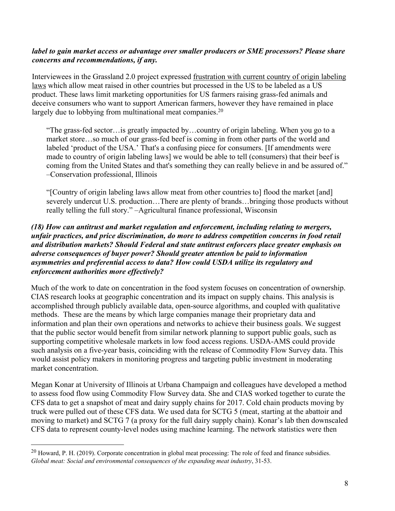#### *label to gain market access or advantage over smaller producers or SME processors? Please share concerns and recommendations, if any.*

Interviewees in the Grassland 2.0 project expressed frustration with current country of origin labeling laws which allow meat raised in other countries but processed in the US to be labeled as a US product. These laws limit marketing opportunities for US farmers raising grass-fed animals and deceive consumers who want to support American farmers, however they have remained in place largely due to lobbying from multinational meat companies.<sup>20</sup>

"The grass-fed sector…is greatly impacted by…country of origin labeling. When you go to a market store…so much of our grass-fed beef is coming in from other parts of the world and labeled 'product of the USA.' That's a confusing piece for consumers. [If amendments were made to country of origin labeling laws] we would be able to tell (consumers) that their beef is coming from the United States and that's something they can really believe in and be assured of." –Conservation professional, Illinois

"[Country of origin labeling laws allow meat from other countries to] flood the market [and] severely undercut U.S. production…There are plenty of brands…bringing those products without really telling the full story." –Agricultural finance professional, Wisconsin

#### *(18) How can antitrust and market regulation and enforcement, including relating to mergers, unfair practices, and price discrimination, do more to address competition concerns in food retail and distribution markets? Should Federal and state antitrust enforcers place greater emphasis on adverse consequences of buyer power? Should greater attention be paid to information asymmetries and preferential access to data? How could USDA utilize its regulatory and enforcement authorities more effectively?*

Much of the work to date on concentration in the food system focuses on concentration of ownership. CIAS research looks at geographic concentration and its impact on supply chains. This analysis is accomplished through publicly available data, open-source algorithms, and coupled with qualitative methods. These are the means by which large companies manage their proprietary data and information and plan their own operations and networks to achieve their business goals. We suggest that the public sector would benefit from similar network planning to support public goals, such as supporting competitive wholesale markets in low food access regions. USDA-AMS could provide such analysis on a five-year basis, coinciding with the release of Commodity Flow Survey data. This would assist policy makers in monitoring progress and targeting public investment in moderating market concentration.

Megan Konar at University of Illinois at Urbana Champaign and colleagues have developed a method to assess food flow using Commodity Flow Survey data. She and CIAS worked together to curate the CFS data to get a snapshot of meat and dairy supply chains for 2017. Cold chain products moving by truck were pulled out of these CFS data. We used data for SCTG 5 (meat, starting at the abattoir and moving to market) and SCTG 7 (a proxy for the full dairy supply chain). Konar's lab then downscaled CFS data to represent county-level nodes using machine learning. The network statistics were then

 $^{20}$  Howard, P. H. (2019). Corporate concentration in global meat processing: The role of feed and finance subsidies. *Global meat: Social and environmental consequences of the expanding meat industry*, 31-53.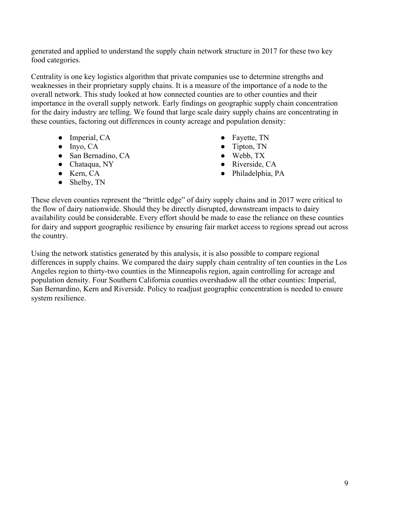generated and applied to understand the supply chain network structure in 2017 for these two key food categories.

Centrality is one key logistics algorithm that private companies use to determine strengths and weaknesses in their proprietary supply chains. It is a measure of the importance of a node to the overall network. This study looked at how connected counties are to other counties and their importance in the overall supply network. Early findings on geographic supply chain concentration for the dairy industry are telling. We found that large scale dairy supply chains are concentrating in these counties, factoring out differences in county acreage and population density:

- Imperial, CA
- $\bullet$  Inyo, CA
- San Bernadino, CA
- Chataqua, NY
- Kern, CA
- Shelby, TN
- Fayette, TN
- Tipton, TN
- Webb, TX
- Riverside, CA
- Philadelphia, PA

These eleven counties represent the "brittle edge" of dairy supply chains and in 2017 were critical to the flow of dairy nationwide. Should they be directly disrupted, downstream impacts to dairy availability could be considerable. Every effort should be made to ease the reliance on these counties for dairy and support geographic resilience by ensuring fair market access to regions spread out across the country.

Using the network statistics generated by this analysis, it is also possible to compare regional differences in supply chains. We compared the dairy supply chain centrality of ten counties in the Los Angeles region to thirty-two counties in the Minneapolis region, again controlling for acreage and population density. Four Southern California counties overshadow all the other counties: Imperial, San Bernardino, Kern and Riverside. Policy to readjust geographic concentration is needed to ensure system resilience.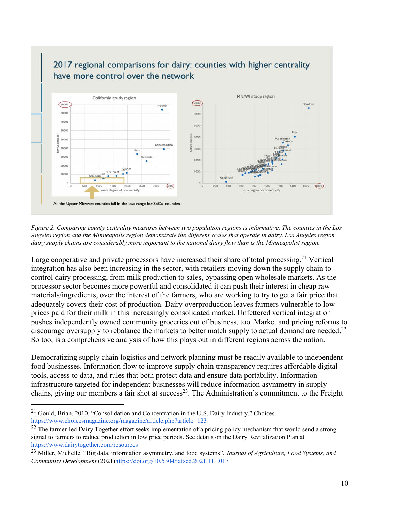

*Figure 2. Comparing county centrality measures between two population regions is informative. The counties in the Los Angeles region and the Minneapolis region demonstrate the different scales that operate in dairy. Los Angeles region dairy supply chains are considerably more important to the national dairy flow than is the Minneapolist region.* 

Large cooperative and private processors have increased their share of total processing.<sup>21</sup> Vertical integration has also been increasing in the sector, with retailers moving down the supply chain to control dairy processing, from milk production to sales, bypassing open wholesale markets. As the processor sector becomes more powerful and consolidated it can push their interest in cheap raw materials/ingredients, over the interest of the farmers, who are working to try to get a fair price that adequately covers their cost of production. Dairy overproduction leaves farmers vulnerable to low prices paid for their milk in this increasingly consolidated market. Unfettered vertical integration pushes independently owned community groceries out of business, too. Market and pricing reforms to discourage oversupply to rebalance the markets to better match supply to actual demand are needed.<sup>22</sup> So too, is a comprehensive analysis of how this plays out in different regions across the nation.

Democratizing supply chain logistics and network planning must be readily available to independent food businesses. Information flow to improve supply chain transparency requires affordable digital tools, access to data, and rules that both protect data and ensure data portability. Information infrastructure targeted for independent businesses will reduce information asymmetry in supply chains, giving our members a fair shot at success<sup>23</sup>. The Administration's commitment to the Freight

<sup>&</sup>lt;sup>21</sup> Gould, Brian. 2010. "Consolidation and Concentration in the U.S. Dairy Industry." Choices. https://www.choicesmagazine.org/magazine/article.php?article=123

<sup>&</sup>lt;sup>22</sup> The farmer-led Dairy Together effort seeks implementation of a pricing policy mechanism that would send a strong signal to farmers to reduce production in low price periods. See details on the Dairy Revitalization Plan at https://www.dairytogether.com/resources

<sup>23</sup> Miller, Michelle. "Big data, information asymmetry, and food systems". *Journal of Agriculture, Food Systems, and Community Development* (2021)https://doi.org/10.5304/jafscd.2021.111.017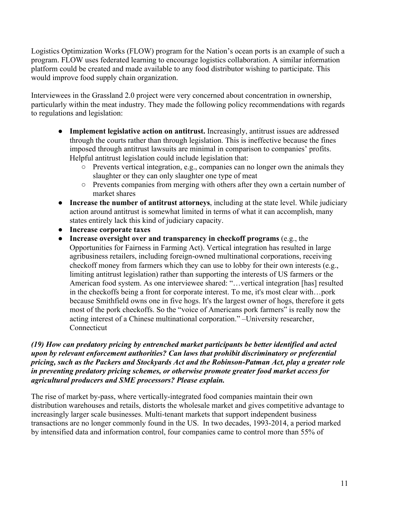Logistics Optimization Works (FLOW) program for the Nation's ocean ports is an example of such a program. FLOW uses federated learning to encourage logistics collaboration. A similar information platform could be created and made available to any food distributor wishing to participate. This would improve food supply chain organization.

Interviewees in the Grassland 2.0 project were very concerned about concentration in ownership, particularly within the meat industry. They made the following policy recommendations with regards to regulations and legislation:

- **Implement legislative action on antitrust.** Increasingly, antitrust issues are addressed through the courts rather than through legislation. This is ineffective because the fines imposed through antitrust lawsuits are minimal in comparison to companies' profits. Helpful antitrust legislation could include legislation that:
	- Prevents vertical integration, e.g., companies can no longer own the animals they slaughter or they can only slaughter one type of meat
	- Prevents companies from merging with others after they own a certain number of market shares
- **Increase the number of antitrust attorneys**, including at the state level. While judiciary action around antitrust is somewhat limited in terms of what it can accomplish, many states entirely lack this kind of judiciary capacity.
- **Increase corporate taxes**
- **Increase oversight over and transparency in checkoff programs** (e.g., the Opportunities for Fairness in Farming Act). Vertical integration has resulted in large agribusiness retailers, including foreign-owned multinational corporations, receiving checkoff money from farmers which they can use to lobby for their own interests (e.g., limiting antitrust legislation) rather than supporting the interests of US farmers or the American food system. As one interviewee shared: "…vertical integration [has] resulted in the checkoffs being a front for corporate interest. To me, it's most clear with…pork because Smithfield owns one in five hogs. It's the largest owner of hogs, therefore it gets most of the pork checkoffs. So the "voice of Americans pork farmers" is really now the acting interest of a Chinese multinational corporation." –University researcher, Connecticut

### *(19) How can predatory pricing by entrenched market participants be better identified and acted upon by relevant enforcement authorities? Can laws that prohibit discriminatory or preferential pricing, such as the Packers and Stockyards Act and the Robinson-Patman Act, play a greater role in preventing predatory pricing schemes, or otherwise promote greater food market access for agricultural producers and SME processors? Please explain.*

The rise of market by-pass, where vertically-integrated food companies maintain their own distribution warehouses and retails, distorts the wholesale market and gives competitive advantage to increasingly larger scale businesses. Multi-tenant markets that support independent business transactions are no longer commonly found in the US. In two decades, 1993-2014, a period marked by intensified data and information control, four companies came to control more than 55% of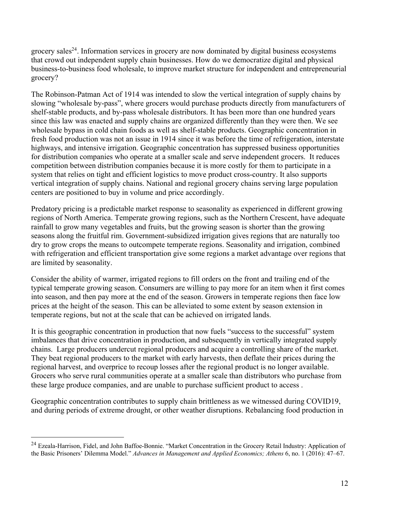grocery sales<sup>24</sup>. Information services in grocery are now dominated by digital business ecosystems that crowd out independent supply chain businesses. How do we democratize digital and physical business-to-business food wholesale, to improve market structure for independent and entrepreneurial grocery?

The Robinson-Patman Act of 1914 was intended to slow the vertical integration of supply chains by slowing "wholesale by-pass", where grocers would purchase products directly from manufacturers of shelf-stable products, and by-pass wholesale distributors. It has been more than one hundred years since this law was enacted and supply chains are organized differently than they were then. We see wholesale bypass in cold chain foods as well as shelf-stable products. Geographic concentration in fresh food production was not an issue in 1914 since it was before the time of refrigeration, interstate highways, and intensive irrigation. Geographic concentration has suppressed business opportunities for distribution companies who operate at a smaller scale and serve independent grocers. It reduces competition between distribution companies because it is more costly for them to participate in a system that relies on tight and efficient logistics to move product cross-country. It also supports vertical integration of supply chains. National and regional grocery chains serving large population centers are positioned to buy in volume and price accordingly.

Predatory pricing is a predictable market response to seasonality as experienced in different growing regions of North America. Temperate growing regions, such as the Northern Crescent, have adequate rainfall to grow many vegetables and fruits, but the growing season is shorter than the growing seasons along the fruitful rim. Government-subsidized irrigation gives regions that are naturally too dry to grow crops the means to outcompete temperate regions. Seasonality and irrigation, combined with refrigeration and efficient transportation give some regions a market advantage over regions that are limited by seasonality.

Consider the ability of warmer, irrigated regions to fill orders on the front and trailing end of the typical temperate growing season. Consumers are willing to pay more for an item when it first comes into season, and then pay more at the end of the season. Growers in temperate regions then face low prices at the height of the season. This can be alleviated to some extent by season extension in temperate regions, but not at the scale that can be achieved on irrigated lands.

It is this geographic concentration in production that now fuels "success to the successful" system imbalances that drive concentration in production, and subsequently in vertically integrated supply chains. Large producers undercut regional producers and acquire a controlling share of the market. They beat regional producers to the market with early harvests, then deflate their prices during the regional harvest, and overprice to recoup losses after the regional product is no longer available. Grocers who serve rural communities operate at a smaller scale than distributors who purchase from these large produce companies, and are unable to purchase sufficient product to access .

Geographic concentration contributes to supply chain brittleness as we witnessed during COVID19, and during periods of extreme drought, or other weather disruptions. Rebalancing food production in

<sup>&</sup>lt;sup>24</sup> Ezeala-Harrison, Fidel, and John Baffoe-Bonnie. "Market Concentration in the Grocery Retail Industry: Application of the Basic Prisoners' Dilemma Model." *Advances in Management and Applied Economics; Athens* 6, no. 1 (2016): 47–67.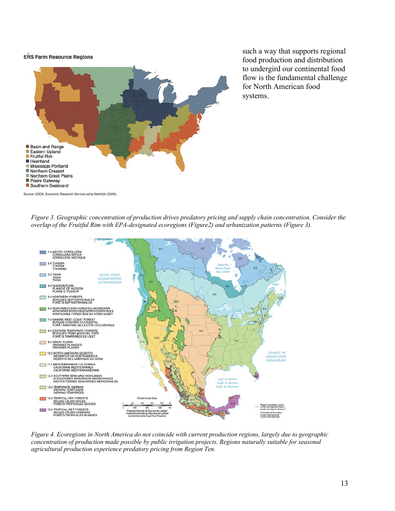

such a way that supports regional food production and distribution to undergird our continental food flow is the fundamental challenge for North American food systems.

*Figure 3. Geographic concentration of production drives predatory pricing and supply chain concentration. Consider the overlap of the Fruitful Rim with EPA-designated ecoregions (Figure2) and urbanization patterns (Figure 3).* 



*Figure 4. Ecoregions in North America do not coincide with current production regions, largely due to geographic concentration of production made possible by public irrigation projects. Regions naturally suitable for seasonal agricultural production experience predatory pricing from Region Ten.*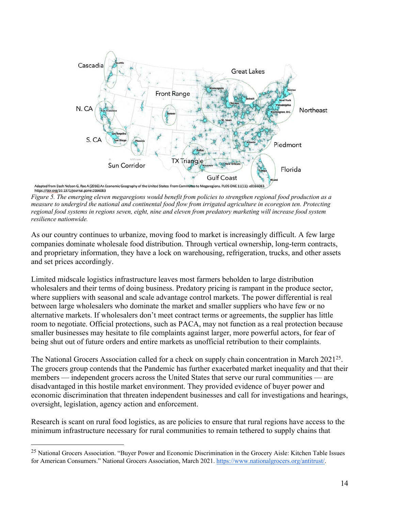

Adapted from Dash Nelson G, Rae A (2016) An Economic Geography of the United States: From Commutes to Megaregions. PLOS ONE 11(11): e0166083 https://doi.org/10.1371/journal.pone.0166083

As our country continues to urbanize, moving food to market is increasingly difficult. A few large companies dominate wholesale food distribution. Through vertical ownership, long-term contracts, and proprietary information, they have a lock on warehousing, refrigeration, trucks, and other assets and set prices accordingly.

Limited midscale logistics infrastructure leaves most farmers beholden to large distribution wholesalers and their terms of doing business. Predatory pricing is rampant in the produce sector, where suppliers with seasonal and scale advantage control markets. The power differential is real between large wholesalers who dominate the market and smaller suppliers who have few or no alternative markets. If wholesalers don't meet contract terms or agreements, the supplier has little room to negotiate. Official protections, such as PACA, may not function as a real protection because smaller businesses may hesitate to file complaints against larger, more powerful actors, for fear of being shut out of future orders and entire markets as unofficial retribution to their complaints.

The National Grocers Association called for a check on supply chain concentration in March 2021<sup>25</sup>. The grocers group contends that the Pandemic has further exacerbated market inequality and that their members — independent grocers across the United States that serve our rural communities — are disadvantaged in this hostile market environment. They provided evidence of buyer power and economic discrimination that threaten independent businesses and call for investigations and hearings, oversight, legislation, agency action and enforcement.

Research is scant on rural food logistics, as are policies to ensure that rural regions have access to the minimum infrastructure necessary for rural communities to remain tethered to supply chains that

*Figure 5. The emerging eleven megaregions would benefit from policies to strengthen regional food production as a measure to undergird the national and continental food flow from irrigated agriculture in ecoregion ten. Protecting regional food systems in regions seven, eight, nine and eleven from predatory marketing will increase food system resilience nationwide.* 

<sup>&</sup>lt;sup>25</sup> National Grocers Association. "Buyer Power and Economic Discrimination in the Grocery Aisle: Kitchen Table Issues for American Consumers." National Grocers Association, March 2021. https://www.nationalgrocers.org/antitrust/.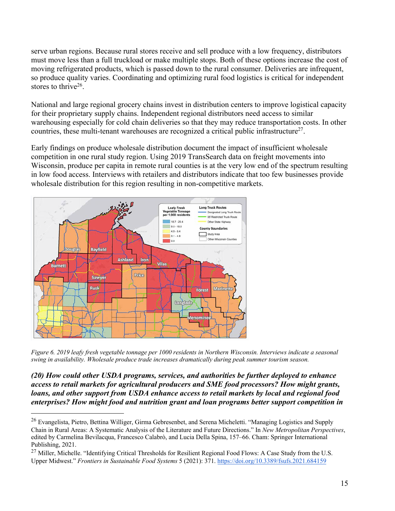serve urban regions. Because rural stores receive and sell produce with a low frequency, distributors must move less than a full truckload or make multiple stops. Both of these options increase the cost of moving refrigerated products, which is passed down to the rural consumer. Deliveries are infrequent, so produce quality varies. Coordinating and optimizing rural food logistics is critical for independent stores to thrive<sup>26</sup>.

National and large regional grocery chains invest in distribution centers to improve logistical capacity for their proprietary supply chains. Independent regional distributors need access to similar warehousing especially for cold chain deliveries so that they may reduce transportation costs. In other countries, these multi-tenant warehouses are recognized a critical public infrastructure<sup>27</sup>.

Early findings on produce wholesale distribution document the impact of insufficient wholesale competition in one rural study region. Using 2019 TransSearch data on freight movements into Wisconsin, produce per capita in remote rural counties is at the very low end of the spectrum resulting in low food access. Interviews with retailers and distributors indicate that too few businesses provide wholesale distribution for this region resulting in non-competitive markets.



*Figure 6. 2019 leafy fresh vegetable tonnage per 1000 residents in Northern Wisconsin. Interviews indicate a seasonal swing in availability. Wholesale produce trade increases dramatically during peak summer tourism season.* 

*(20) How could other USDA programs, services, and authorities be further deployed to enhance access to retail markets for agricultural producers and SME food processors? How might grants, loans, and other support from USDA enhance access to retail markets by local and regional food enterprises? How might food and nutrition grant and loan programs better support competition in* 

<sup>&</sup>lt;sup>26</sup> Evangelista, Pietro, Bettina Williger, Girma Gebresenbet, and Serena Micheletti. "Managing Logistics and Supply Chain in Rural Areas: A Systematic Analysis of the Literature and Future Directions." In *New Metropolitan Perspectives*, edited by Carmelina Bevilacqua, Francesco Calabrò, and Lucia Della Spina, 157–66. Cham: Springer International Publishing, 2021.

<sup>&</sup>lt;sup>27</sup> Miller, Michelle. "Identifying Critical Thresholds for Resilient Regional Food Flows: A Case Study from the U.S. Upper Midwest." *Frontiers in Sustainable Food Systems* 5 (2021): 371. https://doi.org/10.3389/fsufs.2021.684159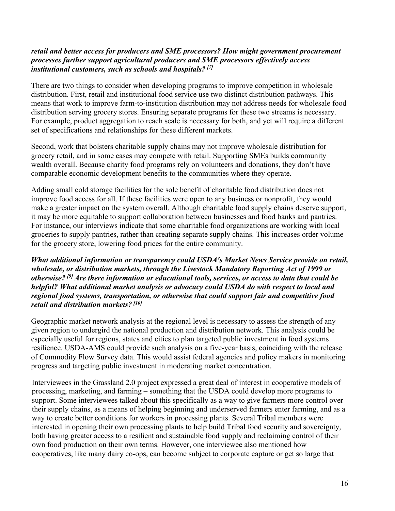#### *retail and better access for producers and SME processors? How might government procurement processes further support agricultural producers and SME processors effectively access institutional customers, such as schools and hospitals? [7]*

There are two things to consider when developing programs to improve competition in wholesale distribution. First, retail and institutional food service use two distinct distribution pathways. This means that work to improve farm-to-institution distribution may not address needs for wholesale food distribution serving grocery stores. Ensuring separate programs for these two streams is necessary. For example, product aggregation to reach scale is necessary for both, and yet will require a different set of specifications and relationships for these different markets.

Second, work that bolsters charitable supply chains may not improve wholesale distribution for grocery retail, and in some cases may compete with retail. Supporting SMEs builds community wealth overall. Because charity food programs rely on volunteers and donations, they don't have comparable economic development benefits to the communities where they operate.

Adding small cold storage facilities for the sole benefit of charitable food distribution does not improve food access for all. If these facilities were open to any business or nonprofit, they would make a greater impact on the system overall. Although charitable food supply chains deserve support, it may be more equitable to support collaboration between businesses and food banks and pantries. For instance, our interviews indicate that some charitable food organizations are working with local groceries to supply pantries, rather than creating separate supply chains. This increases order volume for the grocery store, lowering food prices for the entire community.

*What additional information or transparency could USDA's Market News Service provide on retail, wholesale, or distribution markets, through the Livestock Mandatory Reporting Act of 1999 or otherwise? [9] Are there information or educational tools, services, or access to data that could be helpful? What additional market analysis or advocacy could USDA do with respect to local and regional food systems, transportation, or otherwise that could support fair and competitive food retail and distribution markets? [10]*

Geographic market network analysis at the regional level is necessary to assess the strength of any given region to undergird the national production and distribution network. This analysis could be especially useful for regions, states and cities to plan targeted public investment in food systems resilience. USDA-AMS could provide such analysis on a five-year basis, coinciding with the release of Commodity Flow Survey data. This would assist federal agencies and policy makers in monitoring progress and targeting public investment in moderating market concentration.

Interviewees in the Grassland 2.0 project expressed a great deal of interest in cooperative models of processing, marketing, and farming – something that the USDA could develop more programs to support. Some interviewees talked about this specifically as a way to give farmers more control over their supply chains, as a means of helping beginning and underserved farmers enter farming, and as a way to create better conditions for workers in processing plants. Several Tribal members were interested in opening their own processing plants to help build Tribal food security and sovereignty, both having greater access to a resilient and sustainable food supply and reclaiming control of their own food production on their own terms. However, one interviewee also mentioned how cooperatives, like many dairy co-ops, can become subject to corporate capture or get so large that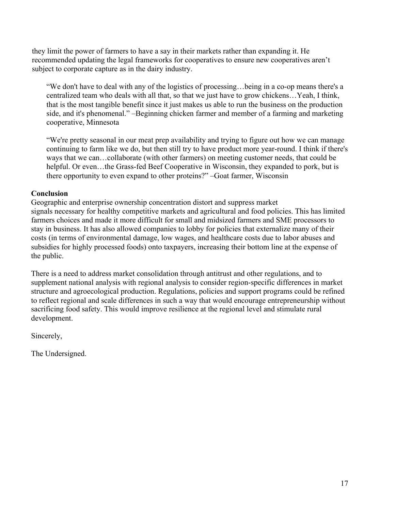they limit the power of farmers to have a say in their markets rather than expanding it. He recommended updating the legal frameworks for cooperatives to ensure new cooperatives aren't subject to corporate capture as in the dairy industry.

"We don't have to deal with any of the logistics of processing…being in a co-op means there's a centralized team who deals with all that, so that we just have to grow chickens…Yeah, I think, that is the most tangible benefit since it just makes us able to run the business on the production side, and it's phenomenal." –Beginning chicken farmer and member of a farming and marketing cooperative, Minnesota

"We're pretty seasonal in our meat prep availability and trying to figure out how we can manage continuing to farm like we do, but then still try to have product more year-round. I think if there's ways that we can…collaborate (with other farmers) on meeting customer needs, that could be helpful. Or even...the Grass-fed Beef Cooperative in Wisconsin, they expanded to pork, but is there opportunity to even expand to other proteins?" –Goat farmer, Wisconsin

#### **Conclusion**

Geographic and enterprise ownership concentration distort and suppress market signals necessary for healthy competitive markets and agricultural and food policies. This has limited farmers choices and made it more difficult for small and midsized farmers and SME processors to stay in business. It has also allowed companies to lobby for policies that externalize many of their costs (in terms of environmental damage, low wages, and healthcare costs due to labor abuses and subsidies for highly processed foods) onto taxpayers, increasing their bottom line at the expense of the public.

There is a need to address market consolidation through antitrust and other regulations, and to supplement national analysis with regional analysis to consider region-specific differences in market structure and agroecological production. Regulations, policies and support programs could be refined to reflect regional and scale differences in such a way that would encourage entrepreneurship without sacrificing food safety. This would improve resilience at the regional level and stimulate rural development.

Sincerely,

The Undersigned.